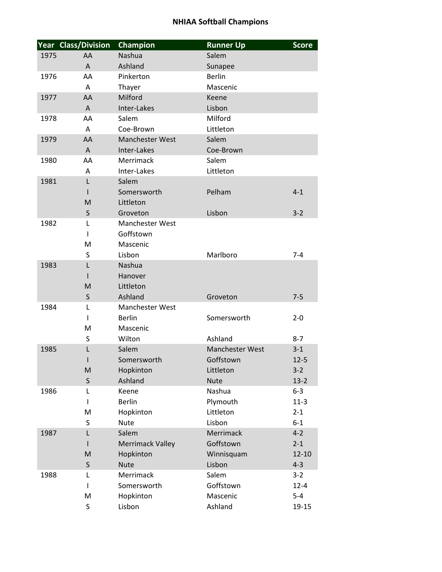|      | <b>Year Class/Division</b> | Champion                                | <b>Runner Up</b>       | <b>Score</b> |
|------|----------------------------|-----------------------------------------|------------------------|--------------|
| 1975 | AA                         | Nashua                                  | Salem                  |              |
|      | A                          | Ashland                                 | Sunapee                |              |
| 1976 | AA                         | Pinkerton                               | <b>Berlin</b>          |              |
|      | Α                          | Thayer                                  | Mascenic               |              |
| 1977 | AA                         | Milford                                 | Keene                  |              |
|      | A                          | Inter-Lakes                             | Lisbon                 |              |
| 1978 | AA                         | Salem                                   | Milford                |              |
|      | A                          | Coe-Brown                               | Littleton              |              |
| 1979 | AA                         | <b>Manchester West</b>                  | Salem                  |              |
|      | A                          | Inter-Lakes                             | Coe-Brown              |              |
| 1980 | AA                         | Merrimack                               | Salem                  |              |
|      | A                          | Inter-Lakes                             | Littleton              |              |
| 1981 | L                          | Salem                                   |                        |              |
|      |                            | Somersworth                             | Pelham                 | $4 - 1$      |
|      | M                          | Littleton                               |                        |              |
|      | $\sf S$                    | Groveton                                | Lisbon                 | $3 - 2$      |
| 1982 | L                          | <b>Manchester West</b>                  |                        |              |
|      | I                          | Goffstown                               |                        |              |
|      | M                          | Mascenic                                |                        |              |
|      | S                          | Lisbon                                  | Marlboro               | $7 - 4$      |
| 1983 | L                          | Nashua                                  |                        |              |
|      | L                          | Hanover                                 |                        |              |
|      | M                          | Littleton                               |                        |              |
|      | $\sf S$                    | Ashland                                 | Groveton               | $7 - 5$      |
| 1984 | L<br>L                     | <b>Manchester West</b><br><b>Berlin</b> | Somersworth            | $2 - 0$      |
|      | M                          | Mascenic                                |                        |              |
|      | S                          | Wilton                                  | Ashland                | $8 - 7$      |
| 1985 | L                          | Salem                                   | <b>Manchester West</b> | $3 - 1$      |
|      | ı                          | Somersworth                             | Goffstown              | $12 - 5$     |
|      | M                          | Hopkinton                               | Littleton              | $3 - 2$      |
|      | $\mathsf{S}$               | Ashland                                 | <b>Nute</b>            | $13 - 2$     |
| 1986 | L                          | Keene                                   | Nashua                 | $6 - 3$      |
|      | T                          | <b>Berlin</b>                           | Plymouth               | $11-3$       |
|      | M                          | Hopkinton                               | Littleton              | $2 - 1$      |
|      | $\sf S$                    | <b>Nute</b>                             | Lisbon                 | $6-1$        |
| 1987 | L                          | Salem                                   | Merrimack              | $4 - 2$      |
|      | L                          | <b>Merrimack Valley</b>                 | Goffstown              | $2 - 1$      |
|      | M                          | Hopkinton                               | Winnisquam             | $12 - 10$    |
|      | S                          | <b>Nute</b>                             | Lisbon                 | $4 - 3$      |
| 1988 | L                          | Merrimack                               | Salem                  | $3 - 2$      |
|      | I                          | Somersworth                             | Goffstown              | $12 - 4$     |
|      | M                          | Hopkinton                               | Mascenic               | $5-4$        |
|      | S                          | Lisbon                                  | Ashland                | 19-15        |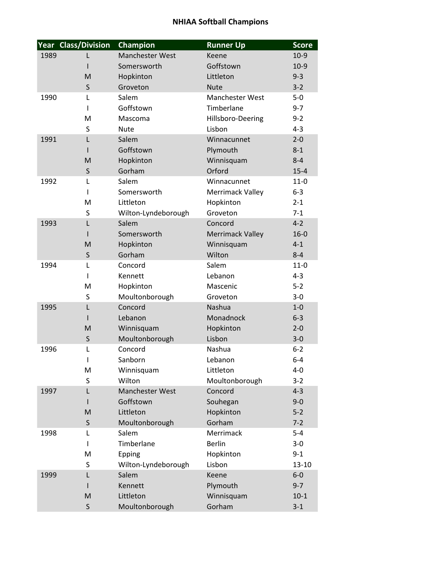|      | <b>Year Class/Division</b> | Champion                     | <b>Runner Up</b>        | <b>Score</b>       |
|------|----------------------------|------------------------------|-------------------------|--------------------|
| 1989 | L                          | <b>Manchester West</b>       | Keene                   | $10-9$             |
|      |                            | Somersworth                  | Goffstown               | $10-9$             |
|      | M                          | Hopkinton                    | Littleton               | $9 - 3$            |
|      | S                          | Groveton                     | <b>Nute</b>             | $3 - 2$            |
| 1990 | L                          | Salem                        | <b>Manchester West</b>  | $5-0$              |
|      | I                          | Goffstown                    | Timberlane              | $9 - 7$            |
|      | M                          | Mascoma                      | Hillsboro-Deering       | $9 - 2$            |
|      | S                          | <b>Nute</b>                  | Lisbon                  | $4 - 3$            |
| 1991 | L                          | Salem                        | Winnacunnet             | $2 - 0$            |
|      |                            | Goffstown                    | Plymouth                | $8 - 1$            |
|      | M                          | Hopkinton                    | Winnisquam              | $8 - 4$            |
|      | S                          | Gorham                       | Orford                  | $15 - 4$           |
| 1992 | L                          | Salem                        | Winnacunnet             | $11-0$             |
|      | ı                          | Somersworth                  | Merrimack Valley        | $6-3$              |
|      | M<br>S                     | Littleton                    | Hopkinton<br>Groveton   | $2 - 1$<br>$7 - 1$ |
| 1993 | L                          | Wilton-Lyndeborough<br>Salem | Concord                 | $4 - 2$            |
|      |                            | Somersworth                  | <b>Merrimack Valley</b> | $16 - 0$           |
|      | M                          | Hopkinton                    | Winnisquam              | $4 - 1$            |
|      | $\mathsf{S}$               | Gorham                       | Wilton                  | $8 - 4$            |
| 1994 | L                          | Concord                      | Salem                   | $11-0$             |
|      | ı                          | Kennett                      | Lebanon                 | $4 - 3$            |
|      | M                          | Hopkinton                    | Mascenic                | $5 - 2$            |
|      | S                          | Moultonborough               | Groveton                | $3 - 0$            |
| 1995 | L                          | Concord                      | Nashua                  | $1-0$              |
|      |                            | Lebanon                      | Monadnock               | $6 - 3$            |
|      | M                          | Winnisquam                   | Hopkinton               | $2 - 0$            |
|      | S                          | Moultonborough               | Lisbon                  | $3 - 0$            |
| 1996 | L                          | Concord                      | Nashua                  | $6 - 2$            |
|      | ı                          | Sanborn                      | Lebanon                 | $6 - 4$            |
|      | M                          | Winnisquam                   | Littleton               | $4 - 0$            |
|      | S                          | Wilton                       | Moultonborough          | $3-2$              |
| 1997 | L                          | Manchester West              | Concord                 | $4 - 3$            |
|      | I                          | Goffstown                    | Souhegan                | $9 - 0$            |
|      | M                          | Littleton                    | Hopkinton               | $5 - 2$            |
|      | $\mathsf S$                | Moultonborough               | Gorham                  | $7 - 2$            |
| 1998 | L                          | Salem                        | Merrimack               | $5 - 4$            |
|      | I                          | Timberlane                   | <b>Berlin</b>           | $3 - 0$            |
|      | M                          | Epping                       | Hopkinton               | $9 - 1$            |
|      | S                          | Wilton-Lyndeborough          | Lisbon                  | $13 - 10$          |
| 1999 | L                          | Salem<br>Kennett             | Keene                   | $6-0$<br>$9 - 7$   |
|      | I<br>M                     | Littleton                    | Plymouth<br>Winnisquam  | $10-1$             |
|      | S                          | Moultonborough               | Gorham                  | $3-1$              |
|      |                            |                              |                         |                    |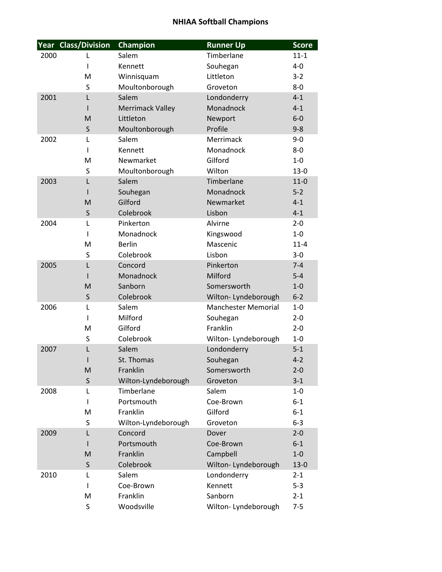|      | Year Class/Division | Champion                          | <b>Runner Up</b>           | <b>Score</b>       |
|------|---------------------|-----------------------------------|----------------------------|--------------------|
| 2000 | L                   | Salem                             | Timberlane                 | $11 - 1$           |
|      | T                   | Kennett                           | Souhegan                   | $4 - 0$            |
|      | M                   | Winnisquam                        | Littleton                  | $3 - 2$            |
|      | S                   | Moultonborough                    | Groveton                   | $8-0$              |
| 2001 | L                   | Salem                             | Londonderry                | $4 - 1$            |
|      |                     | <b>Merrimack Valley</b>           | Monadnock                  | $4 - 1$            |
|      | M                   | Littleton                         | Newport                    | $6-0$              |
|      | S                   | Moultonborough                    | Profile                    | $9 - 8$            |
| 2002 | L                   | Salem                             | Merrimack                  | $9 - 0$            |
|      | ı                   | Kennett                           | Monadnock                  | $8-0$              |
|      | M                   | Newmarket                         | Gilford                    | $1-0$              |
|      | S                   | Moultonborough                    | Wilton                     | $13 - 0$           |
| 2003 | L                   | Salem                             | Timberlane                 | $11-0$             |
|      |                     | Souhegan                          | Monadnock                  | $5 - 2$            |
|      | M                   | Gilford                           | Newmarket                  | $4 - 1$            |
|      | S                   | Colebrook                         | Lisbon                     | $4 - 1$            |
| 2004 | L                   | Pinkerton                         | Alvirne                    | $2 - 0$            |
|      | T                   | Monadnock                         | Kingswood                  | $1-0$              |
|      | M                   | <b>Berlin</b>                     | Mascenic                   | $11 - 4$           |
|      | S                   | Colebrook                         | Lisbon                     | $3 - 0$            |
| 2005 | L                   | Concord                           | Pinkerton                  | $7 - 4$            |
|      |                     | Monadnock                         | Milford                    | $5 - 4$            |
|      | M                   | Sanborn                           | Somersworth                | $1 - 0$            |
|      | S                   | Colebrook                         | Wilton- Lyndeborough       | $6 - 2$            |
| 2006 | L                   | Salem                             | <b>Manchester Memorial</b> | $1-0$              |
|      | T                   | Milford                           | Souhegan                   | $2 - 0$            |
|      | M                   | Gilford                           | Franklin                   | $2 - 0$            |
|      | S                   | Colebrook                         | Wilton- Lyndeborough       | $1 - 0$            |
| 2007 | L                   | Salem                             | Londonderry                | $5 - 1$            |
|      |                     | St. Thomas                        | Souhegan                   | $4 - 2$            |
|      | M                   | Franklin                          | Somersworth                | $2 - 0$            |
|      | S                   | Wilton-Lyndeborough<br>Timberlane | Groveton                   | $3 - 1$            |
| 2008 | L                   | Portsmouth                        | Salem                      | $1 - 0$            |
|      | T                   | Franklin                          | Coe-Brown<br>Gilford       | $6 - 1$            |
|      | M<br>S              |                                   | Groveton                   | $6 - 1$<br>$6 - 3$ |
| 2009 | L                   | Wilton-Lyndeborough<br>Concord    | Dover                      | $2 - 0$            |
|      | L                   | Portsmouth                        | Coe-Brown                  | $6 - 1$            |
|      | M                   | Franklin                          | Campbell                   | $1-0$              |
|      | S                   | Colebrook                         | Wilton- Lyndeborough       | $13 - 0$           |
| 2010 | L                   | Salem                             | Londonderry                | $2 - 1$            |
|      | T                   | Coe-Brown                         | Kennett                    | $5 - 3$            |
|      | M                   | Franklin                          | Sanborn                    | $2 - 1$            |
|      | S                   | Woodsville                        | Wilton- Lyndeborough       | $7 - 5$            |
|      |                     |                                   |                            |                    |